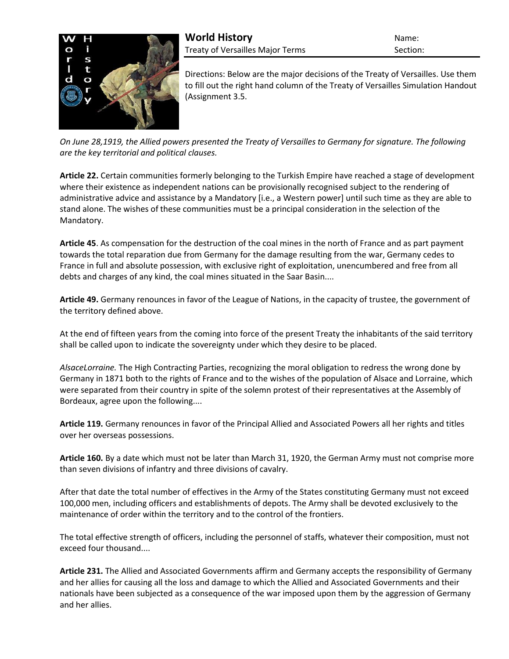

Directions: Below are the major decisions of the Treaty of Versailles. Use them to fill out the right hand column of the Treaty of Versailles Simulation Handout (Assignment 3.5.

*On June 28,1919, the Allied powers presented the Treaty of Versailles to Germany for signature. The following are the key territorial and political clauses.*

**Article 22.** Certain communities formerly belonging to the Turkish Empire have reached a stage of development where their existence as independent nations can be provisionally recognised subject to the rendering of administrative advice and assistance by a Mandatory [i.e., a Western power] until such time as they are able to stand alone. The wishes of these communities must be a principal consideration in the selection of the Mandatory.

**Article 45**. As compensation for the destruction of the coal mines in the north of France and as part payment towards the total reparation due from Germany for the damage resulting from the war, Germany cedes to France in full and absolute possession, with exclusive right of exploitation, unencumbered and free from all debts and charges of any kind, the coal mines situated in the Saar Basin....

**Article 49.** Germany renounces in favor of the League of Nations, in the capacity of trustee, the government of the territory defined above.

At the end of fifteen years from the coming into force of the present Treaty the inhabitants of the said territory shall be called upon to indicate the sovereignty under which they desire to be placed.

*AlsaceLorraine.* The High Contracting Parties, recognizing the moral obligation to redress the wrong done by Germany in 1871 both to the rights of France and to the wishes of the population of Alsace and Lorraine, which were separated from their country in spite of the solemn protest of their representatives at the Assembly of Bordeaux, agree upon the following....

**Article 119.** Germany renounces in favor of the Principal Allied and Associated Powers all her rights and titles over her overseas possessions.

**Article 160.** By a date which must not be later than March 31, 1920, the German Army must not comprise more than seven divisions of infantry and three divisions of cavalry.

After that date the total number of effectives in the Army of the States constituting Germany must not exceed 100,000 men, including officers and establishments of depots. The Army shall be devoted exclusively to the maintenance of order within the territory and to the control of the frontiers.

The total effective strength of officers, including the personnel of staffs, whatever their composition, must not exceed four thousand....

**Article 231.** The Allied and Associated Governments affirm and Germany accepts the responsibility of Germany and her allies for causing all the loss and damage to which the Allied and Associated Governments and their nationals have been subjected as a consequence of the war imposed upon them by the aggression of Germany and her allies.